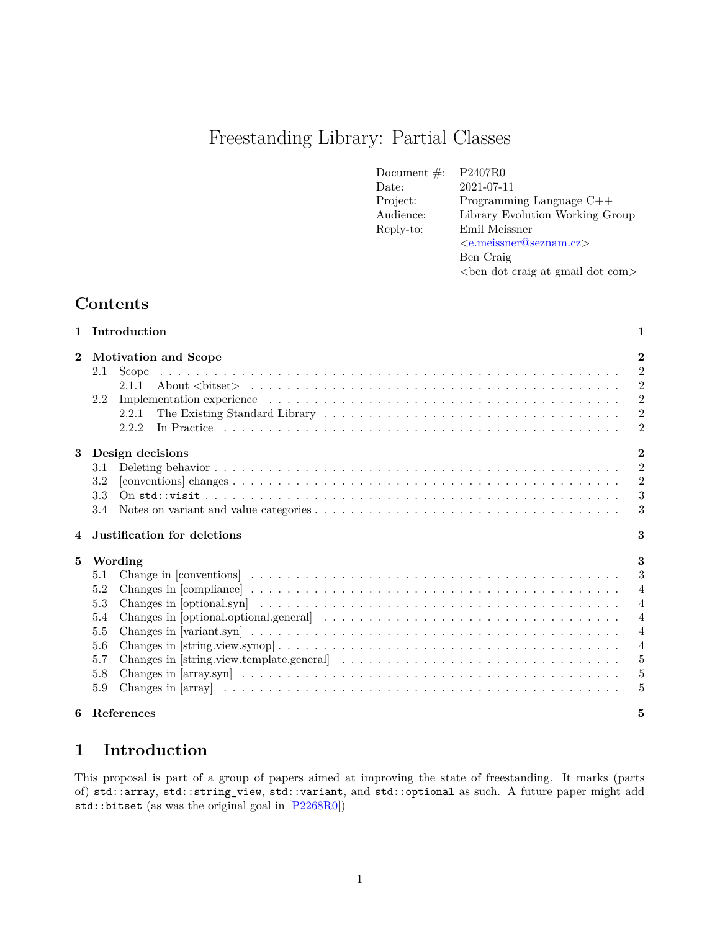# Freestanding Library: Partial Classes

| Document $\#$ : | P2407R0                             |  |
|-----------------|-------------------------------------|--|
| Date:           | 2021-07-11                          |  |
| Project:        | Programming Language $C++$          |  |
| Audience:       | Library Evolution Working Group     |  |
| Reply-to:       | Emil Meissner                       |  |
|                 | $\langle$ e.meissner@seznam.cz>     |  |
|                 | Ben Craig                           |  |
|                 | <br>ben dot craig at gmail dot com> |  |

## **Contents**

|                | 1 Introduction                                                                                                                  | 1              |  |  |  |
|----------------|---------------------------------------------------------------------------------------------------------------------------------|----------------|--|--|--|
| $\bf{2}$       | <b>Motivation and Scope</b>                                                                                                     |                |  |  |  |
|                | 2.1<br>Scope                                                                                                                    | $\overline{2}$ |  |  |  |
|                | 2.1.1                                                                                                                           | $\overline{2}$ |  |  |  |
|                | 2.2                                                                                                                             | $\overline{2}$ |  |  |  |
|                | 2.2.1                                                                                                                           | $\overline{2}$ |  |  |  |
|                | 2.2.2                                                                                                                           | $\overline{2}$ |  |  |  |
| 3 <sup>1</sup> | Design decisions                                                                                                                |                |  |  |  |
|                | 3.1                                                                                                                             | $\overline{2}$ |  |  |  |
|                | 3.2                                                                                                                             | $\overline{2}$ |  |  |  |
|                | 3.3                                                                                                                             | 3              |  |  |  |
|                | 3.4                                                                                                                             | 3              |  |  |  |
| 4              | 3<br>Justification for deletions                                                                                                |                |  |  |  |
| 5              | Wording                                                                                                                         |                |  |  |  |
|                | 5.1                                                                                                                             | 3              |  |  |  |
|                | 5.2                                                                                                                             | $\overline{4}$ |  |  |  |
|                | 5.3                                                                                                                             | $\overline{4}$ |  |  |  |
|                | 5.4                                                                                                                             | $\overline{4}$ |  |  |  |
|                | 5.5                                                                                                                             | $\overline{4}$ |  |  |  |
|                | 5.6                                                                                                                             | $\overline{4}$ |  |  |  |
|                | Changes in [string.view.template.general] $\ldots \ldots \ldots \ldots \ldots \ldots \ldots \ldots \ldots \ldots \ldots$<br>5.7 | $\overline{5}$ |  |  |  |
|                | 5.8                                                                                                                             | 5              |  |  |  |
|                | 5.9                                                                                                                             | 5              |  |  |  |
|                |                                                                                                                                 |                |  |  |  |
|                | 6 References                                                                                                                    | 5              |  |  |  |

## <span id="page-0-0"></span>**1 Introduction**

This proposal is part of a group of papers aimed at improving the state of freestanding. It marks (parts of) std::array, std::string\_view, std::variant, and std::optional as such. A future paper might add std::bitset (as was the original goal in [\[P2268R0\]](#page-5-0))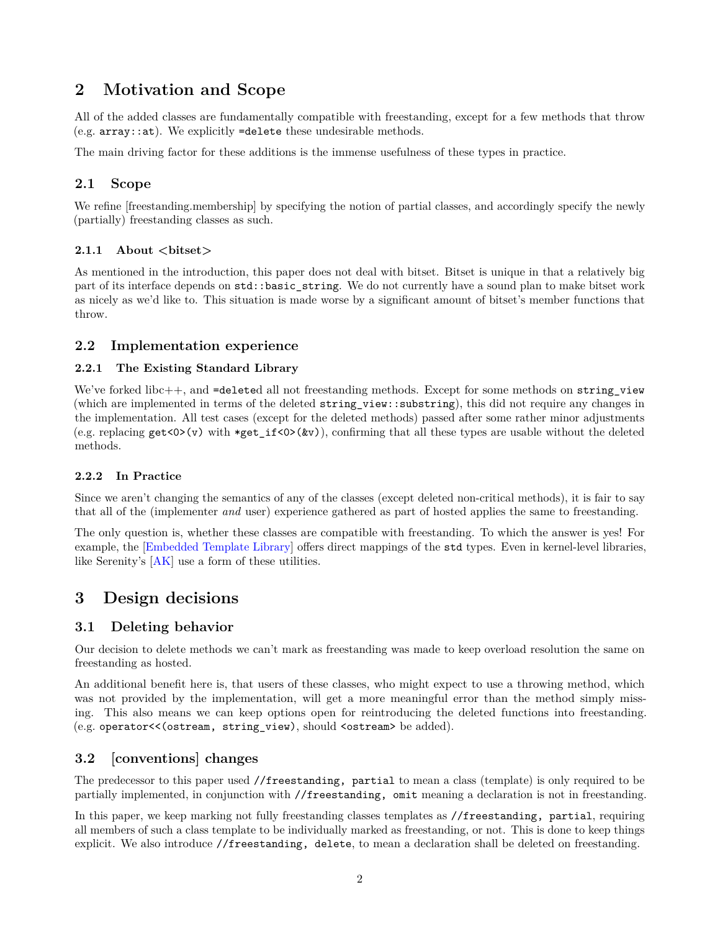## <span id="page-1-0"></span>**2 Motivation and Scope**

All of the added classes are fundamentally compatible with freestanding, except for a few methods that throw  $(e.g. array:at)$ . We explicitly =delete these undesirable methods.

The main driving factor for these additions is the immense usefulness of these types in practice.

## <span id="page-1-1"></span>**2.1 Scope**

We refine [freestanding.membership] by specifying the notion of partial classes, and accordingly specify the newly (partially) freestanding classes as such.

#### <span id="page-1-2"></span>**2.1.1 About <bitset>**

As mentioned in the introduction, this paper does not deal with bitset. Bitset is unique in that a relatively big part of its interface depends on std::basic\_string. We do not currently have a sound plan to make bitset work as nicely as we'd like to. This situation is made worse by a significant amount of bitset's member functions that throw.

### <span id="page-1-3"></span>**2.2 Implementation experience**

#### <span id="page-1-4"></span>**2.2.1 The Existing Standard Library**

We've forked libc++, and =deleted all not freestanding methods. Except for some methods on string\_view (which are implemented in terms of the deleted string\_view::substring), this did not require any changes in the implementation. All test cases (except for the deleted methods) passed after some rather minor adjustments (e.g. replacing  $get<0>(v)$  with \*get\_if <0>(&v)), confirming that all these types are usable without the deleted methods.

#### <span id="page-1-5"></span>**2.2.2 In Practice**

Since we aren't changing the semantics of any of the classes (except deleted non-critical methods), it is fair to say that all of the (implementer *and* user) experience gathered as part of hosted applies the same to freestanding.

The only question is, whether these classes are compatible with freestanding. To which the answer is yes! For example, the [\[Embedded Template Library\]](#page-5-1) offers direct mappings of the std types. Even in kernel-level libraries, like Serenity's [\[AK\]](#page-4-4) use a form of these utilities.

## <span id="page-1-6"></span>**3 Design decisions**

## <span id="page-1-7"></span>**3.1 Deleting behavior**

Our decision to delete methods we can't mark as freestanding was made to keep overload resolution the same on freestanding as hosted.

An additional benefit here is, that users of these classes, who might expect to use a throwing method, which was not provided by the implementation, will get a more meaningful error than the method simply missing. This also means we can keep options open for reintroducing the deleted functions into freestanding. (e.g. operator<<(ostream, string\_view), should <ostream> be added).

## <span id="page-1-8"></span>**3.2 [conventions] changes**

The predecessor to this paper used //freestanding, partial to mean a class (template) is only required to be partially implemented, in conjunction with //freestanding, omit meaning a declaration is not in freestanding.

In this paper, we keep marking not fully freestanding classes templates as //freestanding, partial, requiring all members of such a class template to be individually marked as freestanding, or not. This is done to keep things explicit. We also introduce //freestanding, delete, to mean a declaration shall be deleted on freestanding.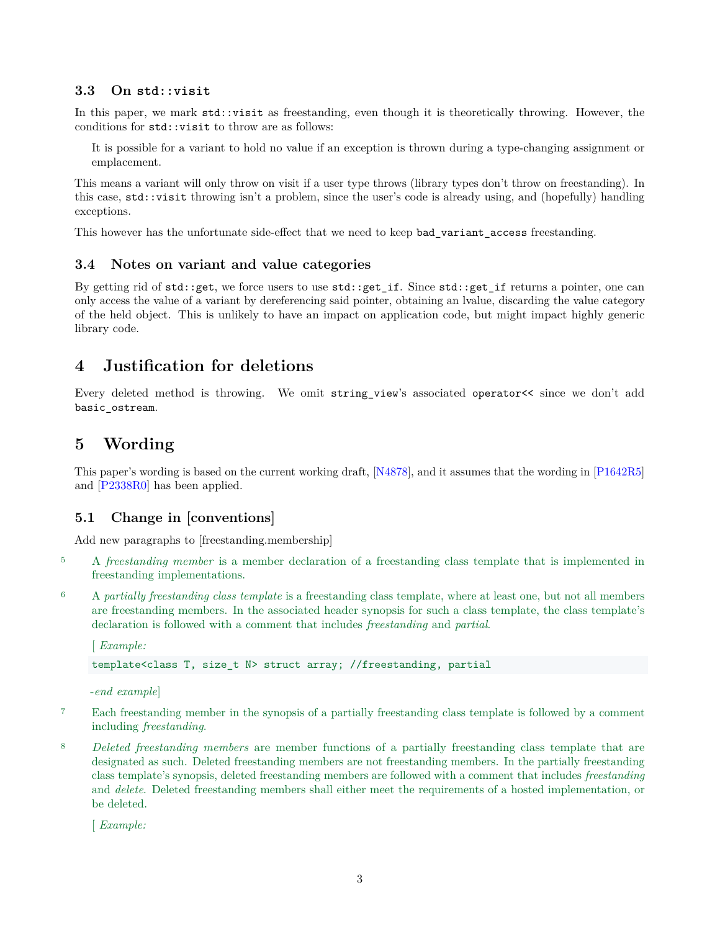#### <span id="page-2-0"></span>**3.3 On std::visit**

In this paper, we mark  $std:$  visit as freestanding, even though it is theoretically throwing. However, the conditions for std::visit to throw are as follows:

It is possible for a variant to hold no value if an exception is thrown during a type-changing assignment or emplacement.

This means a variant will only throw on visit if a user type throws (library types don't throw on freestanding). In this case, std::visit throwing isn't a problem, since the user's code is already using, and (hopefully) handling exceptions.

This however has the unfortunate side-effect that we need to keep bad variant access freestanding.

### <span id="page-2-1"></span>**3.4 Notes on variant and value categories**

By getting rid of std::get, we force users to use std::get\_if. Since std::get\_if returns a pointer, one can only access the value of a variant by dereferencing said pointer, obtaining an lvalue, discarding the value category of the held object. This is unlikely to have an impact on application code, but might impact highly generic library code.

## <span id="page-2-2"></span>**4 Justification for deletions**

Every deleted method is throwing. We omit string\_view's associated operator<< since we don't add basic\_ostream.

## <span id="page-2-3"></span>**5 Wording**

This paper's wording is based on the current working draft, [\[N4878\]](#page-5-2), and it assumes that the wording in [\[P1642R5\]](#page-5-3) and [\[P2338R0\]](#page-5-4) has been applied.

### <span id="page-2-4"></span>**5.1 Change in [conventions]**

Add new paragraphs to [freestanding.membership]

- <sup>5</sup> A *freestanding member* is a member declaration of a freestanding class template that is implemented in freestanding implementations.
- <sup>6</sup> A *partially freestanding class template* is a freestanding class template, where at least one, but not all members are freestanding members. In the associated header synopsis for such a class template, the class template's declaration is followed with a comment that includes *freestanding* and *partial*.

[ *Example:*

template<class T, size\_t N> struct array; //freestanding, partial

-*end example*]

- <sup>7</sup> Each freestanding member in the synopsis of a partially freestanding class template is followed by a comment including *freestanding*.
- <sup>8</sup> *Deleted freestanding members* are member functions of a partially freestanding class template that are designated as such. Deleted freestanding members are not freestanding members. In the partially freestanding class template's synopsis, deleted freestanding members are followed with a comment that includes *freestanding* and *delete*. Deleted freestanding members shall either meet the requirements of a hosted implementation, or be deleted.

[ *Example:*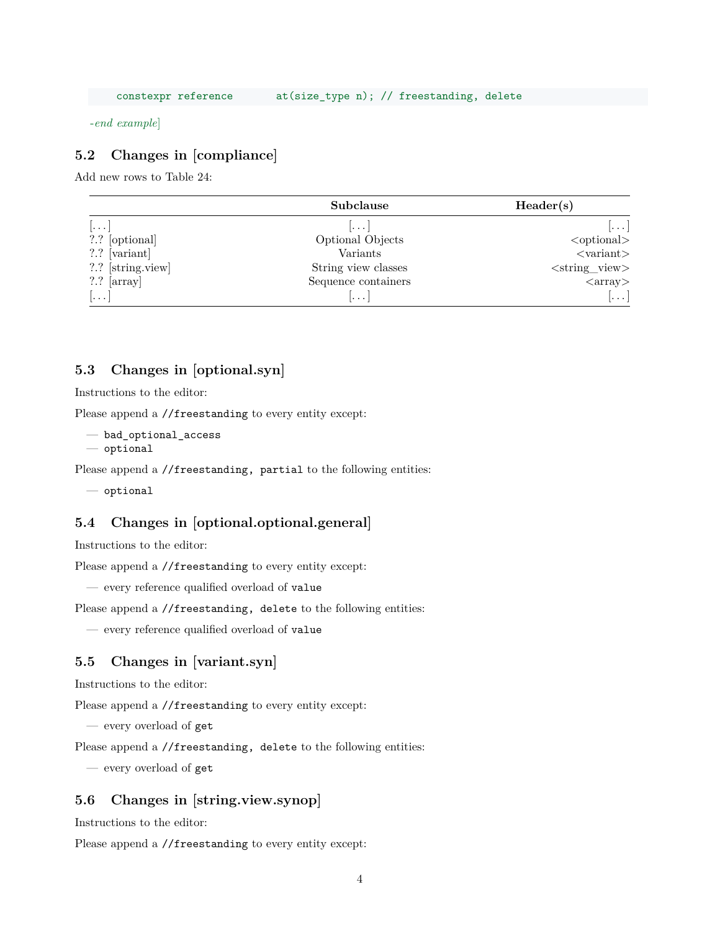-*end example*]

## <span id="page-3-0"></span>**5.2 Changes in [compliance]**

Add new rows to Table 24:

|                                                                                                                                                                                                                                                                                                                                                     | Subclause           | Header(s)                      |
|-----------------------------------------------------------------------------------------------------------------------------------------------------------------------------------------------------------------------------------------------------------------------------------------------------------------------------------------------------|---------------------|--------------------------------|
| $  \dots  $                                                                                                                                                                                                                                                                                                                                         | l.                  | $\left[\ldots\right]$          |
| ?.? [optional]                                                                                                                                                                                                                                                                                                                                      | Optional Objects    | $\leq$ optional $>$            |
| $\left[$ $\right]$ $\left[$ $\left[$ $\left[$ $\left[$ $\left[$ $\left[$ $\right]$ $\left[$ $\left[$ $\left[$ $\left[$ $\left[$ $\right]$ $\left[$ $\left[$ $\left[$ $\left[$ $\right]$ $\left[$ $\left[$ $\left[$ $\left[$ $\right]$ $\left[$ $\left[$ $\left[$ $\left[$ $\right]$ $\left[$ $\left[$ $\left[$ $\left[$ $\left[$ $\right]$ $\left[$ | Variants            | $<$ variant $>$                |
| ?.? [string.view]                                                                                                                                                                                                                                                                                                                                   | String view classes | $\langle$ string_view>         |
| $?.^{?}$ [array]                                                                                                                                                                                                                                                                                                                                    | Sequence containers | $\langle \text{array} \rangle$ |
| $\vert \dots \vert$                                                                                                                                                                                                                                                                                                                                 | .                   | $\left[\ldots\right]$          |

#### <span id="page-3-1"></span>**5.3 Changes in [optional.syn]**

Instructions to the editor:

Please append a //freestanding to every entity except:

- bad\_optional\_access
- optional

Please append a //freestanding, partial to the following entities:

— optional

#### <span id="page-3-2"></span>**5.4 Changes in [optional.optional.general]**

Instructions to the editor:

Please append a //freestanding to every entity except:

— every reference qualified overload of value

Please append a //freestanding, delete to the following entities:

— every reference qualified overload of value

## <span id="page-3-3"></span>**5.5 Changes in [variant.syn]**

Instructions to the editor:

Please append a //freestanding to every entity except:

— every overload of get

Please append a //freestanding, delete to the following entities:

— every overload of get

### <span id="page-3-4"></span>**5.6 Changes in [string.view.synop]**

Instructions to the editor:

Please append a //freestanding to every entity except: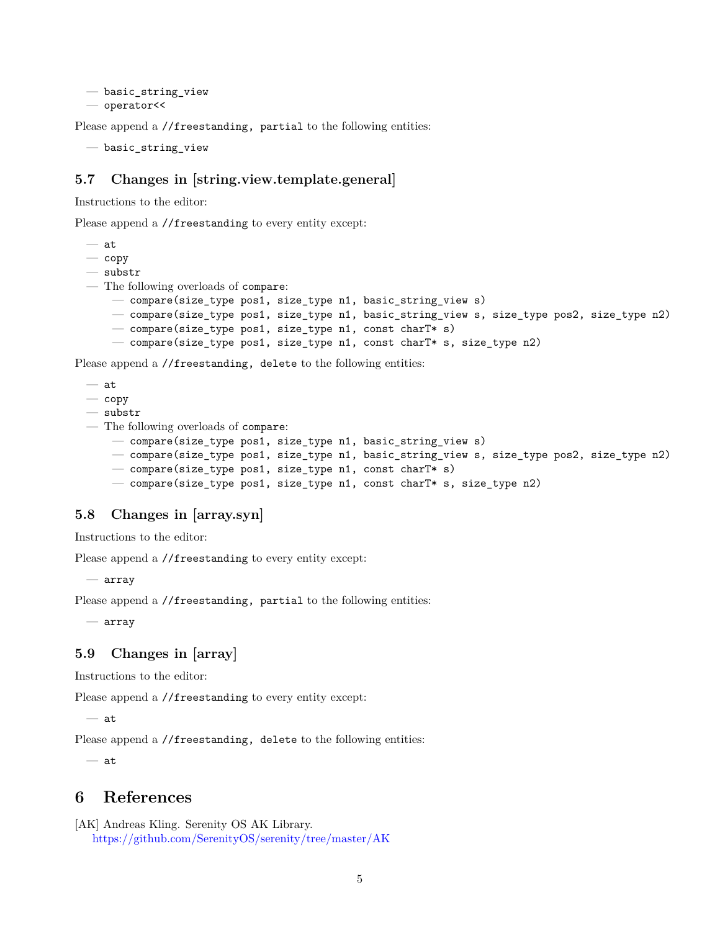```
— basic_string_view
— operator<<
```
Please append a //freestanding, partial to the following entities:

— basic\_string\_view

#### <span id="page-4-0"></span>**5.7 Changes in [string.view.template.general]**

Instructions to the editor:

Please append a //freestanding to every entity except:

— at  $-\overline{\mathrm{copy}}$ — substr — The following overloads of compare: — compare(size\_type pos1, size\_type n1, basic\_string\_view s) — compare(size\_type pos1, size\_type n1, basic\_string\_view s, size\_type pos2, size\_type n2) — compare(size\_type pos1, size\_type n1, const charT\* s) — compare(size\_type pos1, size\_type n1, const charT\* s, size\_type n2)

Please append a //freestanding, delete to the following entities:

```
— at
```
- $\overline{\phantom{0}}$  copy
- substr
- The following overloads of compare:
	- compare(size\_type pos1, size\_type n1, basic\_string\_view s)
	- compare(size\_type pos1, size\_type n1, basic\_string\_view s, size\_type pos2, size\_type n2)
	- compare(size\_type pos1, size\_type n1, const charT\* s)
	- compare(size\_type pos1, size\_type n1, const charT\* s, size\_type n2)

#### <span id="page-4-1"></span>**5.8 Changes in [array.syn]**

Instructions to the editor:

Please append a //freestanding to every entity except:

— array

Please append a //freestanding, partial to the following entities:

— array

### <span id="page-4-2"></span>**5.9 Changes in [array]**

Instructions to the editor:

Please append a //freestanding to every entity except:

— at

Please append a //freestanding, delete to the following entities:

— at

## <span id="page-4-3"></span>**6 References**

```
[AK] Andreas Kling. Serenity OS AK Library.
   https://github.com/SerenityOS/serenity/tree/master/AK
```